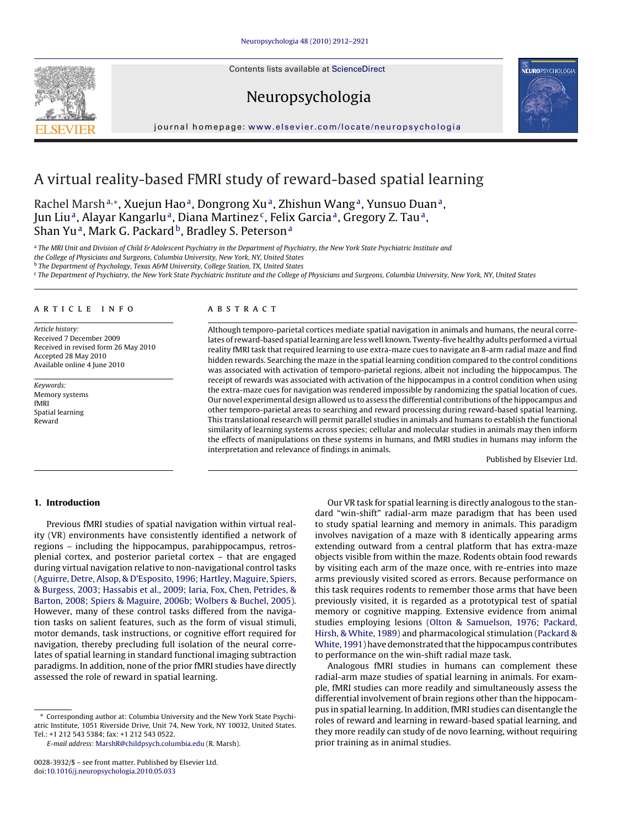Contents lists available at [ScienceDirect](http://www.sciencedirect.com/science/journal/00283932)

Neuropsychologia



journal homepage: [www.elsevier.com/locate/neuropsychologia](http://www.elsevier.com/locate/neuropsychologia)

# A virtual reality-based FMRI study of reward-based spatial learning

Rachel Marsh<sup>a,∗</sup>, Xuejun Hao<sup>a</sup>, Dongrong Xu<sup>a</sup>, Zhishun Wang<sup>a</sup>, Yunsuo Duan<sup>a</sup>, Jun Liu<sup>a</sup>, Alayar Kangarlu<sup>a</sup>, Diana Martinez<sup>c</sup>, Felix Garcia<sup>a</sup>, Gregory Z. Tau<sup>a</sup>, Shan Yu<sup>a</sup>, Mark G. Packard<sup>b</sup>, Bradley S. Peterson<sup>a</sup>

a The MRI Unit and Division of Child & Adolescent Psychiatry in the Department of Psychiatry, the New York State Psychiatric Institute and

the College of Physicians and Surgeons, Columbia University, New York, NY, United States

<sup>b</sup> The Department of Psychology, Texas A&M University, College Station, TX, United States

<sup>c</sup> The Department of Psychiatry, the New York State Psychiatric Institute and the College of Physicians and Surgeons, Columbia University, New York, NY, United States

## article info

Article history: Received 7 December 2009 Received in revised form 26 May 2010 Accepted 28 May 2010 Available online 4 June 2010

Keywords: Memory systems fMRI Spatial learning Reward

# **ABSTRACT**

Although temporo-parietal cortices mediate spatial navigation in animals and humans, the neural correlates of reward-based spatial learning are less well known. Twenty-five healthy adults performed a virtual reality fMRI task that required learning to use extra-maze cues to navigate an 8-arm radial maze and find hidden rewards. Searching the maze in the spatial learning condition compared to the control conditions was associated with activation of temporo-parietal regions, albeit not including the hippocampus. The receipt of rewards was associated with activation of the hippocampus in a control condition when using the extra-maze cues for navigation was rendered impossible by randomizing the spatial location of cues. Our novel experimental design allowed us to assess the differential contributions of the hippocampus and other temporo-parietal areas to searching and reward processing during reward-based spatial learning. This translational research will permit parallel studies in animals and humans to establish the functional similarity of learning systems across species; cellular and molecular studies in animals may then inform the effects of manipulations on these systems in humans, and fMRI studies in humans may inform the interpretation and relevance of findings in animals.

Published by Elsevier Ltd.

# **1. Introduction**

Previous fMRI studies of spatial navigation within virtual reality (VR) environments have consistently identified a network of regions – including the hippocampus, parahippocampus, retrosplenial cortex, and posterior parietal cortex – that are engaged during virtual navigation relative to non-navigational control tasks ([Aguirre, Detre, Alsop, & D'Esposito, 1996; Hartley, Maguire, Spiers,](#page--1-0) [& Burgess, 2003; Hassabis et al., 2009; Iaria, Fox, Chen, Petrides, &](#page--1-0) [Barton, 2008; Spiers & Maguire, 2006b; Wolbers & Buchel, 2005\).](#page--1-0) However, many of these control tasks differed from the navigation tasks on salient features, such as the form of visual stimuli, motor demands, task instructions, or cognitive effort required for navigation, thereby precluding full isolation of the neural correlates of spatial learning in standard functional imaging subtraction paradigms. In addition, none of the prior fMRI studies have directly assessed the role of reward in spatial learning.

∗ Corresponding author at: Columbia University and the New York State Psychiatric Institute, 1051 Riverside Drive, Unit 74, New York, NY 10032, United States. Tel.: +1 212 543 5384; fax: +1 212 543 0522.

E-mail address: [MarshR@childpsych.columbia.edu](mailto:MarshR@childpsych.columbia.edu) (R. Marsh).

Our VR task for spatial learning is directly analogous to the standard "win-shift" radial-arm maze paradigm that has been used to study spatial learning and memory in animals. This paradigm involves navigation of a maze with 8 identically appearing arms extending outward from a central platform that has extra-maze objects visible from within the maze. Rodents obtain food rewards by visiting each arm of the maze once, with re-entries into maze arms previously visited scored as errors. Because performance on this task requires rodents to remember those arms that have been previously visited, it is regarded as a prototypical test of spatial memory or cognitive mapping. Extensive evidence from animal studies employing lesions [\(Olton & Samuelson, 1976; Packard,](#page--1-0) [Hirsh, & White, 1989\) a](#page--1-0)nd pharmacological stimulation ([Packard &](#page--1-0) [White, 1991\) h](#page--1-0)ave demonstrated that the hippocampus contributes to performance on the win-shift radial maze task.

Analogous fMRI studies in humans can complement these radial-arm maze studies of spatial learning in animals. For example, fMRI studies can more readily and simultaneously assess the differential involvement of brain regions other than the hippocampus in spatial learning. In addition, fMRI studies can disentangle the roles of reward and learning in reward-based spatial learning, and they more readily can study of de novo learning, without requiring prior training as in animal studies.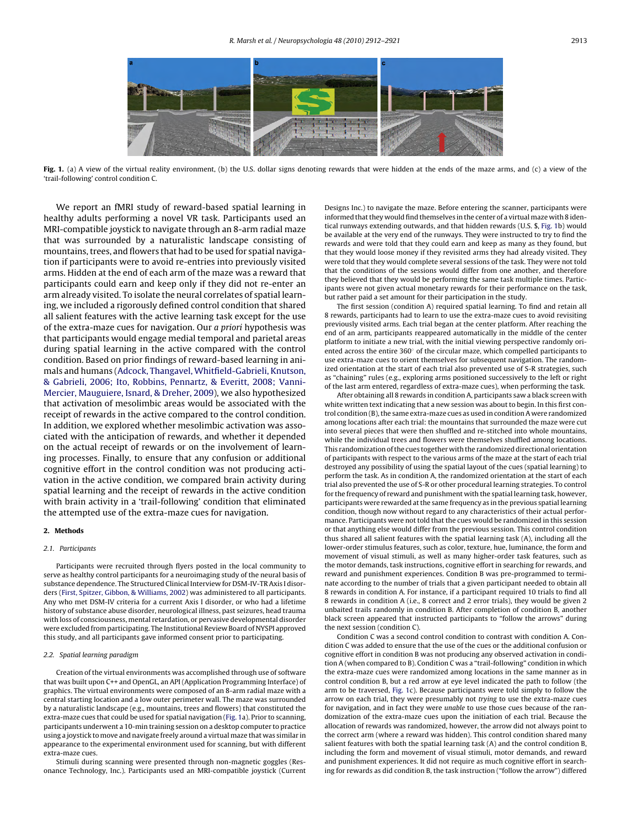

Fig. 1. (a) A view of the virtual reality environment, (b) the U.S. dollar signs denoting rewards that were hidden at the ends of the maze arms, and (c) a view of the 'trail-following' control condition C.

We report an fMRI study of reward-based spatial learning in healthy adults performing a novel VR task. Participants used an MRI-compatible joystick to navigate through an 8-arm radial maze that was surrounded by a naturalistic landscape consisting of mountains, trees, and flowers that had to be used for spatial navigation if participants were to avoid re-entries into previously visited arms. Hidden at the end of each arm of the maze was a reward that participants could earn and keep only if they did not re-enter an arm already visited. To isolate the neural correlates of spatial learning, we included a rigorously defined control condition that shared all salient features with the active learning task except for the use of the extra-maze cues for navigation. Our a priori hypothesis was that participants would engage medial temporal and parietal areas during spatial learning in the active compared with the control condition. Based on prior findings of reward-based learning in animals and humans ([Adcock, Thangavel, Whitfield-Gabrieli, Knutson,](#page--1-0) [& Gabrieli, 2006; Ito, Robbins, Pennartz, & Everitt, 2008; Vanni-](#page--1-0)Mercier, [Mauguiere, Isnard, & Dreher, 2009\),](#page--1-0) we also hypothesized that activation of mesolimbic areas would be associated with the receipt of rewards in the active compared to the control condition. In addition, we explored whether mesolimbic activation was associated with the anticipation of rewards, and whether it depended on the actual receipt of rewards or on the involvement of learning processes. Finally, to ensure that any confusion or additional cognitive effort in the control condition was not producing activation in the active condition, we compared brain activity during spatial learning and the receipt of rewards in the active condition with brain activity in a 'trail-following' condition that eliminated the attempted use of the extra-maze cues for navigation.

#### **2. Methods**

### 2.1. Participants

Participants were recruited through flyers posted in the local community to serve as healthy control participants for a neuroimaging study of the neural basis of substance dependence. The Structured Clinical Interview for DSM-IV-TR Axis I disorders [\(First, Spitzer, Gibbon, & Williams, 2002\) w](#page--1-0)as administered to all participants. Any who met DSM-IV criteria for a current Axis I disorder, or who had a lifetime history of substance abuse disorder, neurological illness, past seizures, head trauma with loss of consciousness, mental retardation, or pervasive developmental disorder were excluded from participating. The Institutional Review Board of NYSPI approved this study, and all participants gave informed consent prior to participating.

### 2.2. Spatial learning paradigm

Creation of the virtual environments was accomplished through use of software that was built upon C++ and OpenGL, an API (Application Programming Interface) of graphics. The virtual environments were composed of an 8-arm radial maze with a central starting location and a low outer perimeter wall. The maze was surrounded by a naturalistic landscape (e.g., mountains, trees and flowers) that constituted the extra-maze cues that could be used for spatial navigation (Fig. 1a). Prior to scanning, participants underwent a 10-min training session on a desktop computer to practice using a joystick to move and navigate freely around a virtual maze that was similar in appearance to the experimental environment used for scanning, but with different extra-maze cues.

Stimuli during scanning were presented through non-magnetic goggles (Resonance Technology, Inc.). Participants used an MRI-compatible joystick (Current Designs Inc.) to navigate the maze. Before entering the scanner, participants were informed that they would find themselves in the center of a virtual maze with 8 identical runways extending outwards, and that hidden rewards (U.S. \$, Fig. 1b) would be available at the very end of the runways. They were instructed to try to find the rewards and were told that they could earn and keep as many as they found, but that they would loose money if they revisited arms they had already visited. They were told that they would complete several sessions of the task. They were not told that the conditions of the sessions would differ from one another, and therefore they believed that they would be performing the same task multiple times. Participants were not given actual monetary rewards for their performance on the task, but rather paid a set amount for their participation in the study.

The first session (condition A) required spatial learning. To find and retain all 8 rewards, participants had to learn to use the extra-maze cues to avoid revisiting previously visited arms. Each trial began at the center platform. After reaching the end of an arm, participants reappeared automatically in the middle of the center platform to initiate a new trial, with the initial viewing perspective randomly oriented across the entire 360◦ of the circular maze, which compelled participants to use extra-maze cues to orient themselves for subsequent navigation. The randomized orientation at the start of each trial also prevented use of S-R strategies, such as "chaining" rules (e.g., exploring arms positioned successively to the left or right of the last arm entered, regardless of extra-maze cues), when performing the task.

After obtaining all 8 rewards in condition A, participants saw a black screen with white written text indicating that a new session was about to begin. In this first control condition (B), the same extra-maze cues as used in condition A were randomized among locations after each trial: the mountains that surrounded the maze were cut into several pieces that were then shuffled and re-stitched into whole mountains, while the individual trees and flowers were themselves shuffled among locations. This randomization of the cues together with the randomized directional orientation of participants with respect to the various arms of the maze at the start of each trial destroyed any possibility of using the spatial layout of the cues (spatial learning) to perform the task. As in condition A, the randomized orientation at the start of each trial also prevented the use of S-R or other procedural learning strategies. To control for the frequency of reward and punishment with the spatial learning task, however, participants were rewarded at the same frequency as in the previous spatial learning condition, though now without regard to any characteristics of their actual performance. Participants were not told that the cues would be randomized in this session or that anything else would differ from the previous session. This control condition thus shared all salient features with the spatial learning task (A), including all the lower-order stimulus features, such as color, texture, hue, luminance, the form and movement of visual stimuli, as well as many higher-order task features, such as the motor demands, task instructions, cognitive effort in searching for rewards, and reward and punishment experiences. Condition B was pre-programmed to terminate according to the number of trials that a given participant needed to obtain all 8 rewards in condition A. For instance, if a participant required 10 trials to find all 8 rewards in condition A (i.e., 8 correct and 2 error trials), they would be given 2 unbaited trails randomly in condition B. After completion of condition B, another black screen appeared that instructed participants to "follow the arrows" during the next session (condition C).

Condition C was a second control condition to contrast with condition A. Condition C was added to ensure that the use of the cues or the additional confusion or cognitive effort in condition B was not producing any observed activation in condition A (when compared to B). Condition C was a "trail-following" condition in which the extra-maze cues were randomized among locations in the same manner as in control condition B, but a red arrow at eye level indicated the path to follow (the arm to be traversed, Fig. 1c). Because participants were told simply to follow the arrow on each trial, they were presumably not trying to use the extra-maze cues for navigation, and in fact they were unable to use those cues because of the randomization of the extra-maze cues upon the initiation of each trial. Because the allocation of rewards was randomized, however, the arrow did not always point to the correct arm (where a reward was hidden). This control condition shared many salient features with both the spatial learning task (A) and the control condition B, including the form and movement of visual stimuli, motor demands, and reward and punishment experiences. It did not require as much cognitive effort in searching for rewards as did condition B, the task instruction ("follow the arrow") differed